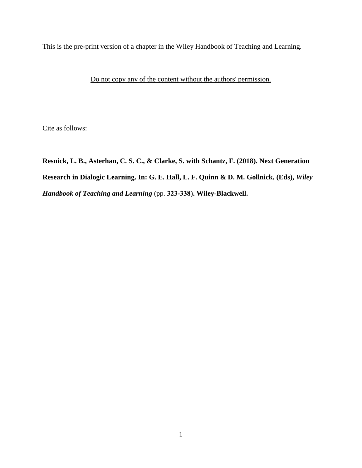This is the pre-print version of a chapter in the Wiley Handbook of Teaching and Learning.

Do not copy any of the content without the authors' permission.

Cite as follows:

**Resnick, L. B., Asterhan, C. S. C., & Clarke, S. with Schantz, F. (2018). Next Generation Research in Dialogic Learning. In: G. E. Hall, L. F. Quinn & D. M. Gollnick, (Eds),** *Wiley Handbook of Teaching and Learning* (pp. **323-338**)**. Wiley-Blackwell.**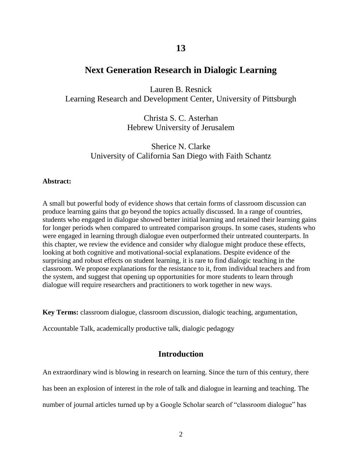# **13**

# **Next Generation Research in Dialogic Learning**

Lauren B. Resnick

Learning Research and Development Center, University of Pittsburgh

Christa S. C. Asterhan Hebrew University of Jerusalem

Sherice N. Clarke University of California San Diego with Faith Schantz

# **Abstract:**

A small but powerful body of evidence shows that certain forms of classroom discussion can produce learning gains that go beyond the topics actually discussed. In a range of countries, students who engaged in dialogue showed better initial learning and retained their learning gains for longer periods when compared to untreated comparison groups. In some cases, students who were engaged in learning through dialogue even outperformed their untreated counterparts. In this chapter, we review the evidence and consider why dialogue might produce these effects, looking at both cognitive and motivational-social explanations. Despite evidence of the surprising and robust effects on student learning, it is rare to find dialogic teaching in the classroom. We propose explanations for the resistance to it, from individual teachers and from the system, and suggest that opening up opportunities for more students to learn through dialogue will require researchers and practitioners to work together in new ways.

**Key Terms:** classroom dialogue, classroom discussion, dialogic teaching, argumentation,

Accountable Talk, academically productive talk, dialogic pedagogy

# **Introduction**

An extraordinary wind is blowing in research on learning. Since the turn of this century, there has been an explosion of interest in the role of talk and dialogue in learning and teaching. The number of journal articles turned up by a Google Scholar search of "classroom dialogue" has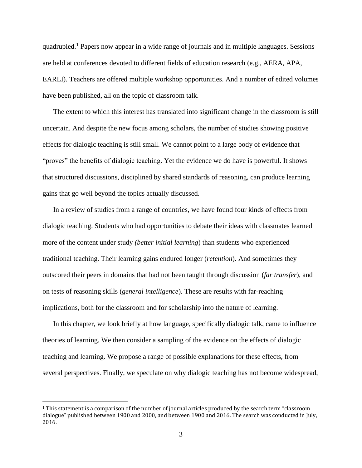quadrupled.<sup>1</sup> Papers now appear in a wide range of journals and in multiple languages. Sessions are held at conferences devoted to different fields of education research (e.g., AERA, APA, EARLI). Teachers are offered multiple workshop opportunities. And a number of edited volumes have been published, all on the topic of classroom talk.

The extent to which this interest has translated into significant change in the classroom is still uncertain. And despite the new focus among scholars, the number of studies showing positive effects for dialogic teaching is still small. We cannot point to a large body of evidence that "proves" the benefits of dialogic teaching. Yet the evidence we do have is powerful. It shows that structured discussions, disciplined by shared standards of reasoning, can produce learning gains that go well beyond the topics actually discussed.

In a review of studies from a range of countries, we have found four kinds of effects from dialogic teaching. Students who had opportunities to debate their ideas with classmates learned more of the content under study *(better initial learning*) than students who experienced traditional teaching. Their learning gains endured longer (*retention*). And sometimes they outscored their peers in domains that had not been taught through discussion (*far transfer*), and on tests of reasoning skills (*general intelligence*). These are results with far-reaching implications, both for the classroom and for scholarship into the nature of learning.

In this chapter, we look briefly at how language, specifically dialogic talk, came to influence theories of learning. We then consider a sampling of the evidence on the effects of dialogic teaching and learning. We propose a range of possible explanations for these effects, from several perspectives. Finally, we speculate on why dialogic teaching has not become widespread,

 $\overline{\phantom{a}}$ 

 $1$  This statement is a comparison of the number of journal articles produced by the search term "classroom" dialogue" published between 1900 and 2000, and between 1900 and 2016. The search was conducted in July, 2016.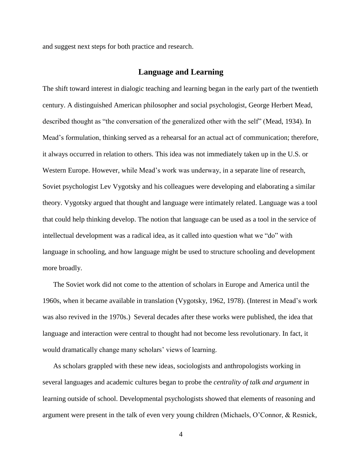and suggest next steps for both practice and research.

## **Language and Learning**

The shift toward interest in dialogic teaching and learning began in the early part of the twentieth century. A distinguished American philosopher and social psychologist, George Herbert Mead, described thought as "the conversation of the generalized other with the self" (Mead, 1934). In Mead's formulation, thinking served as a rehearsal for an actual act of communication; therefore, it always occurred in relation to others. This idea was not immediately taken up in the U.S. or Western Europe. However, while Mead's work was underway, in a separate line of research, Soviet psychologist Lev Vygotsky and his colleagues were developing and elaborating a similar theory. Vygotsky argued that thought and language were intimately related. Language was a tool that could help thinking develop. The notion that language can be used as a tool in the service of intellectual development was a radical idea, as it called into question what we "do" with language in schooling, and how language might be used to structure schooling and development more broadly.

The Soviet work did not come to the attention of scholars in Europe and America until the 1960s, when it became available in translation (Vygotsky, 1962, 1978). (Interest in Mead's work was also revived in the 1970s.) Several decades after these works were published, the idea that language and interaction were central to thought had not become less revolutionary. In fact, it would dramatically change many scholars' views of learning.

As scholars grappled with these new ideas, sociologists and anthropologists working in several languages and academic cultures began to probe the *centrality of talk and argument* in learning outside of school. Developmental psychologists showed that elements of reasoning and argument were present in the talk of even very young children (Michaels, O'Connor, & Resnick,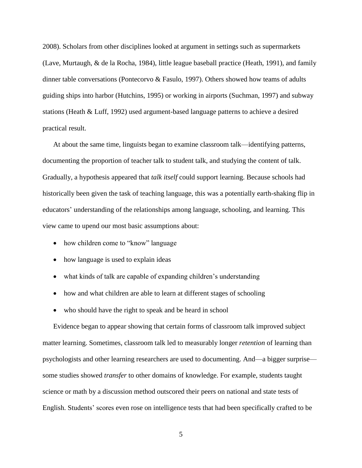2008). Scholars from other disciplines looked at argument in settings such as supermarkets (Lave, Murtaugh, & de la Rocha, 1984), little league baseball practice (Heath, 1991), and family dinner table conversations (Pontecorvo & Fasulo, 1997). Others showed how teams of adults guiding ships into harbor (Hutchins, 1995) or working in airports (Suchman, 1997) and subway stations (Heath & Luff, 1992) used argument-based language patterns to achieve a desired practical result.

At about the same time, linguists began to examine classroom talk—identifying patterns, documenting the proportion of teacher talk to student talk, and studying the content of talk. Gradually, a hypothesis appeared that *talk itself* could support learning. Because schools had historically been given the task of teaching language, this was a potentially earth-shaking flip in educators' understanding of the relationships among language, schooling, and learning. This view came to upend our most basic assumptions about:

- how children come to "know" language
- how language is used to explain ideas
- what kinds of talk are capable of expanding children's understanding
- how and what children are able to learn at different stages of schooling
- who should have the right to speak and be heard in school

Evidence began to appear showing that certain forms of classroom talk improved subject matter learning. Sometimes, classroom talk led to measurably longer *retention* of learning than psychologists and other learning researchers are used to documenting. And—a bigger surprise some studies showed *transfer* to other domains of knowledge. For example, students taught science or math by a discussion method outscored their peers on national and state tests of English. Students' scores even rose on intelligence tests that had been specifically crafted to be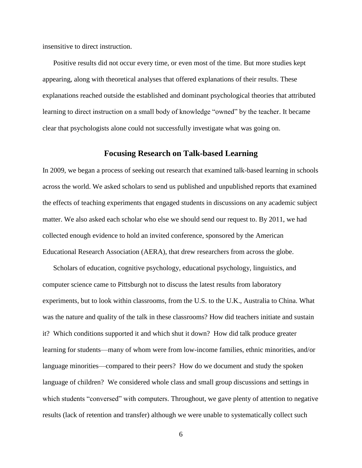insensitive to direct instruction.

Positive results did not occur every time, or even most of the time. But more studies kept appearing, along with theoretical analyses that offered explanations of their results. These explanations reached outside the established and dominant psychological theories that attributed learning to direct instruction on a small body of knowledge "owned" by the teacher. It became clear that psychologists alone could not successfully investigate what was going on.

## **Focusing Research on Talk-based Learning**

In 2009, we began a process of seeking out research that examined talk-based learning in schools across the world. We asked scholars to send us published and unpublished reports that examined the effects of teaching experiments that engaged students in discussions on any academic subject matter. We also asked each scholar who else we should send our request to. By 2011, we had collected enough evidence to hold an invited conference, sponsored by the American Educational Research Association (AERA), that drew researchers from across the globe.

Scholars of education, cognitive psychology, educational psychology, linguistics, and computer science came to Pittsburgh not to discuss the latest results from laboratory experiments, but to look within classrooms, from the U.S. to the U.K., Australia to China. What was the nature and quality of the talk in these classrooms? How did teachers initiate and sustain it? Which conditions supported it and which shut it down? How did talk produce greater learning for students—many of whom were from low-income families, ethnic minorities, and/or language minorities—compared to their peers? How do we document and study the spoken language of children? We considered whole class and small group discussions and settings in which students "conversed" with computers. Throughout, we gave plenty of attention to negative results (lack of retention and transfer) although we were unable to systematically collect such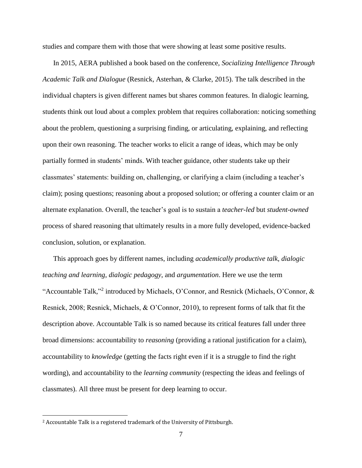studies and compare them with those that were showing at least some positive results.

In 2015, AERA published a book based on the conference, *Socializing Intelligence Through Academic Talk and Dialogue* (Resnick, Asterhan, & Clarke, 2015). The talk described in the individual chapters is given different names but shares common features. In dialogic learning, students think out loud about a complex problem that requires collaboration: noticing something about the problem, questioning a surprising finding, or articulating, explaining, and reflecting upon their own reasoning. The teacher works to elicit a range of ideas, which may be only partially formed in students' minds. With teacher guidance, other students take up their classmates' statements: building on, challenging, or clarifying a claim (including a teacher's claim); posing questions; reasoning about a proposed solution; or offering a counter claim or an alternate explanation. Overall, the teacher's goal is to sustain a *teacher-led* but *student-owned* process of shared reasoning that ultimately results in a more fully developed, evidence-backed conclusion, solution, or explanation.

This approach goes by different names, including *academically productive talk*, *dialogic teaching and learning*, *dialogic pedagogy*, and *argumentation*. Here we use the term "Accountable Talk," 2 introduced by Michaels, O'Connor, and Resnick (Michaels, O'Connor, & Resnick, 2008; Resnick, Michaels, & O'Connor, 2010), to represent forms of talk that fit the description above. Accountable Talk is so named because its critical features fall under three broad dimensions: accountability to *reasoning* (providing a rational justification for a claim), accountability to *knowledge* (getting the facts right even if it is a struggle to find the right wording), and accountability to the *learning community* (respecting the ideas and feelings of classmates). All three must be present for deep learning to occur.

l

<sup>2</sup> Accountable Talk is a registered trademark of the University of Pittsburgh.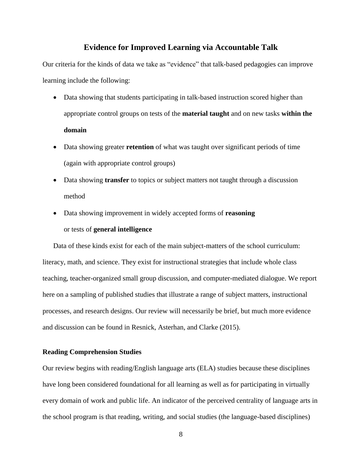### **Evidence for Improved Learning via Accountable Talk**

Our criteria for the kinds of data we take as "evidence" that talk-based pedagogies can improve learning include the following:

- Data showing that students participating in talk-based instruction scored higher than appropriate control groups on tests of the **material taught** and on new tasks **within the domain**
- Data showing greater **retention** of what was taught over significant periods of time (again with appropriate control groups)
- Data showing **transfer** to topics or subject matters not taught through a discussion method
- Data showing improvement in widely accepted forms of **reasoning** or tests of **general intelligence**

Data of these kinds exist for each of the main subject-matters of the school curriculum: literacy, math, and science. They exist for instructional strategies that include whole class teaching, teacher-organized small group discussion, and computer-mediated dialogue. We report here on a sampling of published studies that illustrate a range of subject matters, instructional processes, and research designs. Our review will necessarily be brief, but much more evidence and discussion can be found in Resnick, Asterhan, and Clarke (2015).

#### **Reading Comprehension Studies**

Our review begins with reading/English language arts (ELA) studies because these disciplines have long been considered foundational for all learning as well as for participating in virtually every domain of work and public life. An indicator of the perceived centrality of language arts in the school program is that reading, writing, and social studies (the language-based disciplines)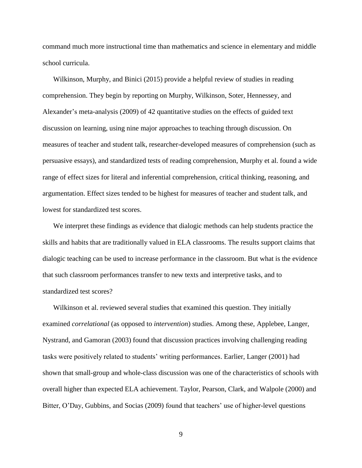command much more instructional time than mathematics and science in elementary and middle school curricula.

Wilkinson, Murphy, and Binici (2015) provide a helpful review of studies in reading comprehension. They begin by reporting on Murphy, Wilkinson, Soter, Hennessey, and Alexander's meta-analysis (2009) of 42 quantitative studies on the effects of guided text discussion on learning, using nine major approaches to teaching through discussion. On measures of teacher and student talk, researcher-developed measures of comprehension (such as persuasive essays), and standardized tests of reading comprehension, Murphy et al. found a wide range of effect sizes for literal and inferential comprehension, critical thinking, reasoning, and argumentation. Effect sizes tended to be highest for measures of teacher and student talk, and lowest for standardized test scores.

We interpret these findings as evidence that dialogic methods can help students practice the skills and habits that are traditionally valued in ELA classrooms. The results support claims that dialogic teaching can be used to increase performance in the classroom. But what is the evidence that such classroom performances transfer to new texts and interpretive tasks, and to standardized test scores?

Wilkinson et al. reviewed several studies that examined this question. They initially examined *correlational* (as opposed to *intervention*) studies. Among these, Applebee, Langer, Nystrand, and Gamoran (2003) found that discussion practices involving challenging reading tasks were positively related to students' writing performances. Earlier, Langer (2001) had shown that small-group and whole-class discussion was one of the characteristics of schools with overall higher than expected ELA achievement. Taylor, Pearson, Clark, and Walpole (2000) and Bitter, O'Day, Gubbins, and Socias (2009) found that teachers' use of higher-level questions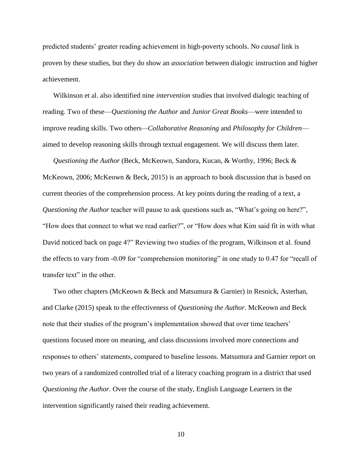predicted students' greater reading achievement in high-poverty schools. No *causal* link is proven by these studies, but they do show an *association* between dialogic instruction and higher achievement.

Wilkinson et al. also identified nine *intervention* studies that involved dialogic teaching of reading. Two of these—*Questioning the Author* and *Junior Great Books*—were intended to improve reading skills. Two others*—Collaborative Reasoning* and *Philosophy for Children* aimed to develop reasoning skills through textual engagement. We will discuss them later.

*Questioning the Author* (Beck, McKeown, Sandora, Kucan, & Worthy, 1996; Beck & McKeown, 2006; McKeown & Beck, 2015) is an approach to book discussion that is based on current theories of the comprehension process. At key points during the reading of a text, a *Questioning the Author* teacher will pause to ask questions such as, "What's going on here?", "How does that connect to what we read earlier?", or "How does what Kim said fit in with what David noticed back on page 4?" Reviewing two studies of the program, Wilkinson et al. found the effects to vary from -0.09 for "comprehension monitoring" in one study to 0.47 for "recall of transfer text" in the other.

Two other chapters (McKeown & Beck and Matsumura & Garnier) in Resnick, Asterhan, and Clarke (2015) speak to the effectiveness of *Questioning the Author*. McKeown and Beck note that their studies of the program's implementation showed that over time teachers' questions focused more on meaning, and class discussions involved more connections and responses to others' statements, compared to baseline lessons. Matsumura and Garnier report on two years of a randomized controlled trial of a literacy coaching program in a district that used *Questioning the Author*. Over the course of the study, English Language Learners in the intervention significantly raised their reading achievement.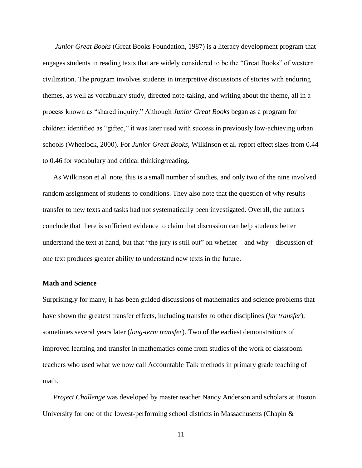*Junior Great Books* (Great Books Foundation, 1987) is a literacy development program that engages students in reading texts that are widely considered to be the "Great Books" of western civilization. The program involves students in interpretive discussions of stories with enduring themes, as well as vocabulary study, directed note-taking, and writing about the theme, all in a process known as "shared inquiry." Although *Junior Great Books* began as a program for children identified as "gifted," it was later used with success in previously low-achieving urban schools (Wheelock, 2000). For *Junior Great Books*, Wilkinson et al. report effect sizes from 0.44 to 0.46 for vocabulary and critical thinking/reading.

As Wilkinson et al. note, this is a small number of studies, and only two of the nine involved random assignment of students to conditions. They also note that the question of why results transfer to new texts and tasks had not systematically been investigated. Overall, the authors conclude that there is sufficient evidence to claim that discussion can help students better understand the text at hand, but that "the jury is still out" on whether—and why—discussion of one text produces greater ability to understand new texts in the future.

### **Math and Science**

Surprisingly for many, it has been guided discussions of mathematics and science problems that have shown the greatest transfer effects, including transfer to other disciplines (*far transfer*), sometimes several years later (*long-term transfer*). Two of the earliest demonstrations of improved learning and transfer in mathematics come from studies of the work of classroom teachers who used what we now call Accountable Talk methods in primary grade teaching of math.

*Project Challenge* was developed by master teacher Nancy Anderson and scholars at Boston University for one of the lowest-performing school districts in Massachusetts (Chapin &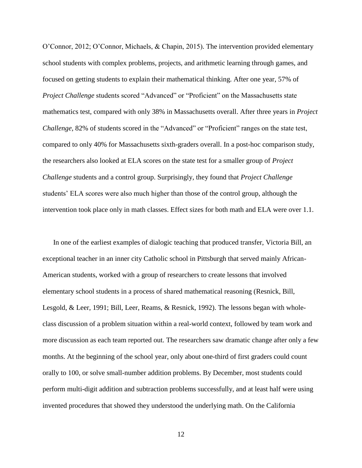O'Connor, 2012; O'Connor, Michaels, & Chapin, 2015). The intervention provided elementary school students with complex problems, projects, and arithmetic learning through games, and focused on getting students to explain their mathematical thinking. After one year, 57% of *Project Challenge* students scored "Advanced" or "Proficient" on the Massachusetts state mathematics test, compared with only 38% in Massachusetts overall. After three years in *Project Challenge*, 82% of students scored in the "Advanced" or "Proficient" ranges on the state test, compared to only 40% for Massachusetts sixth-graders overall. In a post-hoc comparison study, the researchers also looked at ELA scores on the state test for a smaller group of *Project Challenge* students and a control group. Surprisingly, they found that *Project Challenge* students' ELA scores were also much higher than those of the control group, although the intervention took place only in math classes. Effect sizes for both math and ELA were over 1.1.

In one of the earliest examples of dialogic teaching that produced transfer, Victoria Bill, an exceptional teacher in an inner city Catholic school in Pittsburgh that served mainly African-American students, worked with a group of researchers to create lessons that involved elementary school students in a process of shared mathematical reasoning (Resnick, Bill, Lesgold, & Leer, 1991; Bill, Leer, Reams, & Resnick, 1992). The lessons began with wholeclass discussion of a problem situation within a real-world context, followed by team work and more discussion as each team reported out. The researchers saw dramatic change after only a few months. At the beginning of the school year, only about one-third of first graders could count orally to 100, or solve small-number addition problems. By December, most students could perform multi-digit addition and subtraction problems successfully, and at least half were using invented procedures that showed they understood the underlying math. On the California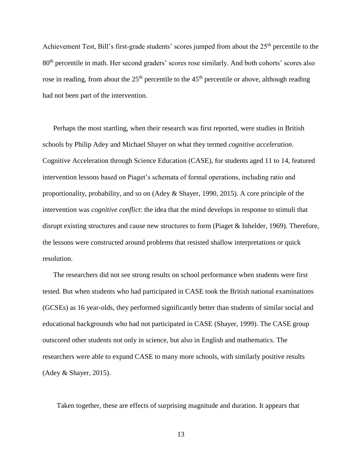Achievement Test, Bill's first-grade students' scores jumped from about the 25<sup>th</sup> percentile to the 80th percentile in math. Her second graders' scores rose similarly. And both cohorts' scores also rose in reading, from about the  $25<sup>th</sup>$  percentile to the  $45<sup>th</sup>$  percentile or above, although reading had not been part of the intervention.

Perhaps the most startling, when their research was first reported, were studies in British schools by Philip Adey and Michael Shayer on what they termed *cognitive acceleration*. Cognitive Acceleration through Science Education (CASE), for students aged 11 to 14, featured intervention lessons based on Piaget's schemata of formal operations, including ratio and proportionality, probability, and so on (Adey & Shayer, 1990, 2015). A core principle of the intervention was *cognitive conflict*: the idea that the mind develops in response to stimuli that disrupt existing structures and cause new structures to form (Piaget & Inhelder, 1969). Therefore, the lessons were constructed around problems that resisted shallow interpretations or quick resolution.

The researchers did not see strong results on school performance when students were first tested. But when students who had participated in CASE took the British national examinations (GCSEs) as 16 year-olds, they performed significantly better than students of similar social and educational backgrounds who had not participated in CASE (Shayer, 1999). The CASE group outscored other students not only in science, but also in English and mathematics. The researchers were able to expand CASE to many more schools, with similarly positive results (Adey & Shayer, 2015).

Taken together, these are effects of surprising magnitude and duration. It appears that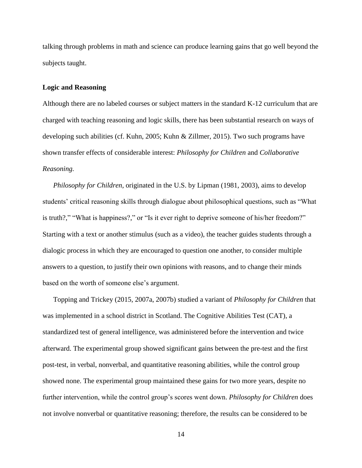talking through problems in math and science can produce learning gains that go well beyond the subjects taught.

#### **Logic and Reasoning**

Although there are no labeled courses or subject matters in the standard K-12 curriculum that are charged with teaching reasoning and logic skills, there has been substantial research on ways of developing such abilities (cf. Kuhn, 2005; Kuhn & Zillmer, 2015). Two such programs have shown transfer effects of considerable interest: *Philosophy for Children* and *Collaborative Reasoning.*

*Philosophy for Children*, originated in the U.S. by Lipman (1981, 2003), aims to develop students' critical reasoning skills through dialogue about philosophical questions, such as "What is truth?," "What is happiness?," or "Is it ever right to deprive someone of his/her freedom?" Starting with a text or another stimulus (such as a video), the teacher guides students through a dialogic process in which they are encouraged to question one another, to consider multiple answers to a question, to justify their own opinions with reasons, and to change their minds based on the worth of someone else's argument.

Topping and Trickey (2015, 2007a, 2007b) studied a variant of *Philosophy for Children* that was implemented in a school district in Scotland. The Cognitive Abilities Test (CAT), a standardized test of general intelligence, was administered before the intervention and twice afterward. The experimental group showed significant gains between the pre-test and the first post-test, in verbal, nonverbal, and quantitative reasoning abilities, while the control group showed none. The experimental group maintained these gains for two more years, despite no further intervention, while the control group's scores went down. *Philosophy for Children* does not involve nonverbal or quantitative reasoning; therefore, the results can be considered to be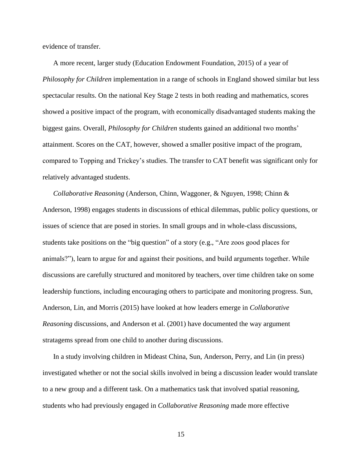evidence of transfer.

A more recent, larger study (Education Endowment Foundation, 2015) of a year of *Philosophy for Children* implementation in a range of schools in England showed similar but less spectacular results. On the national Key Stage 2 tests in both reading and mathematics, scores showed a positive impact of the program, with economically disadvantaged students making the biggest gains. Overall, *Philosophy for Children* students gained an additional two months' attainment. Scores on the CAT, however, showed a smaller positive impact of the program, compared to Topping and Trickey's studies. The transfer to CAT benefit was significant only for relatively advantaged students.

*Collaborative Reasoning* (Anderson, Chinn, Waggoner, & Nguyen, 1998; Chinn & Anderson, 1998) engages students in discussions of ethical dilemmas, public policy questions, or issues of science that are posed in stories. In small groups and in whole-class discussions, students take positions on the "big question" of a story (e.g., "Are zoos good places for animals?"), learn to argue for and against their positions, and build arguments together. While discussions are carefully structured and monitored by teachers, over time children take on some leadership functions, including encouraging others to participate and monitoring progress. Sun, Anderson, Lin, and Morris (2015) have looked at how leaders emerge in *Collaborative Reasoning* discussions, and Anderson et al. (2001) have documented the way argument stratagems spread from one child to another during discussions.

In a study involving children in Mideast China, Sun, Anderson, Perry, and Lin (in press) investigated whether or not the social skills involved in being a discussion leader would translate to a new group and a different task. On a mathematics task that involved spatial reasoning, students who had previously engaged in *Collaborative Reasoning* made more effective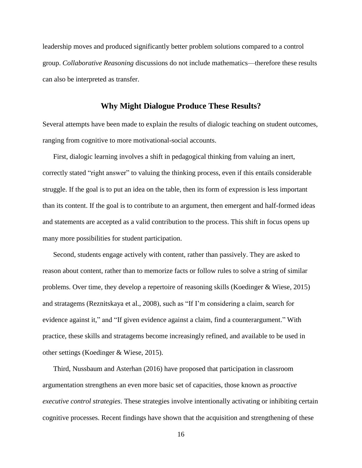leadership moves and produced significantly better problem solutions compared to a control group. *Collaborative Reasoning* discussions do not include mathematics—therefore these results can also be interpreted as transfer.

# **Why Might Dialogue Produce These Results?**

Several attempts have been made to explain the results of dialogic teaching on student outcomes, ranging from cognitive to more motivational-social accounts.

First, dialogic learning involves a shift in pedagogical thinking from valuing an inert, correctly stated "right answer" to valuing the thinking process, even if this entails considerable struggle. If the goal is to put an idea on the table, then its form of expression is less important than its content. If the goal is to contribute to an argument, then emergent and half-formed ideas and statements are accepted as a valid contribution to the process. This shift in focus opens up many more possibilities for student participation.

Second, students engage actively with content, rather than passively. They are asked to reason about content, rather than to memorize facts or follow rules to solve a string of similar problems. Over time, they develop a repertoire of reasoning skills (Koedinger & Wiese, 2015) and stratagems (Reznitskaya et al., 2008), such as "If I'm considering a claim, search for evidence against it," and "If given evidence against a claim, find a counterargument." With practice, these skills and stratagems become increasingly refined, and available to be used in other settings (Koedinger & Wiese, 2015).

Third, Nussbaum and Asterhan (2016) have proposed that participation in classroom argumentation strengthens an even more basic set of capacities, those known as *proactive executive control strategies*. These strategies involve intentionally activating or inhibiting certain cognitive processes. Recent findings have shown that the acquisition and strengthening of these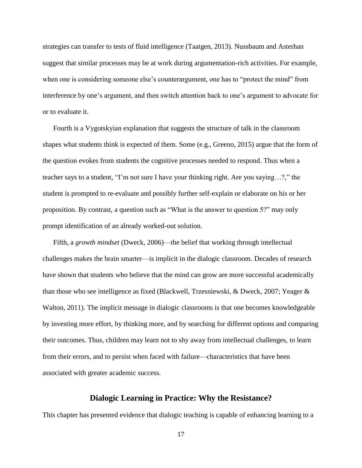strategies can transfer to tests of fluid intelligence (Taatgen, 2013). Nussbaum and Asterhan suggest that similar processes may be at work during argumentation-rich activities. For example, when one is considering someone else's counterargument, one has to "protect the mind" from interference by one's argument, and then switch attention back to one's argument to advocate for or to evaluate it.

Fourth is a Vygotskyian explanation that suggests the structure of talk in the classroom shapes what students think is expected of them. Some (e.g., Greeno, 2015) argue that the form of the question evokes from students the cognitive processes needed to respond. Thus when a teacher says to a student, "I'm not sure I have your thinking right. Are you saying…?," the student is prompted to re-evaluate and possibly further self-explain or elaborate on his or her proposition. By contrast, a question such as "What is the answer to question 5?" may only prompt identification of an already worked-out solution.

Fifth, a *growth mindset* (Dweck, 2006)—the belief that working through intellectual challenges makes the brain smarter—is implicit in the dialogic classroom. Decades of research have shown that students who believe that the mind can grow are more successful academically than those who see intelligence as fixed (Blackwell, Trzesniewski, & Dweck, 2007; Yeager & Walton, 2011). The implicit message in dialogic classrooms is that one becomes knowledgeable by investing more effort, by thinking more, and by searching for different options and comparing their outcomes. Thus, children may learn not to shy away from intellectual challenges, to learn from their errors, and to persist when faced with failure—characteristics that have been associated with greater academic success.

#### **Dialogic Learning in Practice: Why the Resistance?**

This chapter has presented evidence that dialogic teaching is capable of enhancing learning to a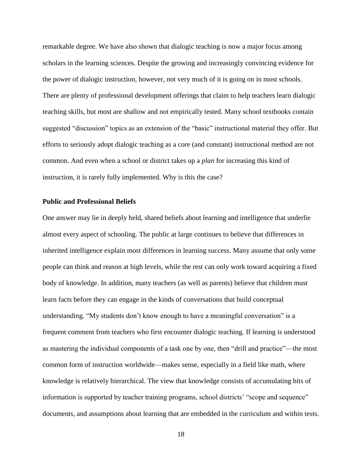remarkable degree. We have also shown that dialogic teaching is now a major focus among scholars in the learning sciences. Despite the growing and increasingly convincing evidence for the power of dialogic instruction, however, not very much of it is going on in most schools. There are plenty of professional development offerings that claim to help teachers learn dialogic teaching skills, but most are shallow and not empirically tested. Many school textbooks contain suggested "discussion" topics as an extension of the "basic" instructional material they offer. But efforts to seriously adopt dialogic teaching as a core (and constant) instructional method are not common. And even when a school or district takes up a *plan* for increasing this kind of instruction, it is rarely fully implemented. Why is this the case?

#### **Public and Professional Beliefs**

One answer may lie in deeply held, shared beliefs about learning and intelligence that underlie almost every aspect of schooling. The public at large continues to believe that differences in inherited intelligence explain most differences in learning success. Many assume that only some people can think and reason at high levels, while the rest can only work toward acquiring a fixed body of knowledge. In addition, many teachers (as well as parents) believe that children must learn facts before they can engage in the kinds of conversations that build conceptual understanding. "My students don't know enough to have a meaningful conversation" is a frequent comment from teachers who first encounter dialogic teaching. If learning is understood as mastering the individual components of a task one by one, then "drill and practice"—the most common form of instruction worldwide—makes sense, especially in a field like math, where knowledge is relatively hierarchical. The view that knowledge consists of accumulating bits of information is supported by teacher training programs, school districts' "scope and sequence" documents, and assumptions about learning that are embedded in the curriculum and within tests.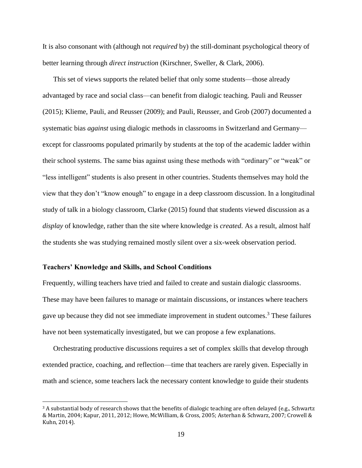It is also consonant with (although not *required* by) the still-dominant psychological theory of better learning through *direct instruction* (Kirschner, Sweller, & Clark, 2006).

This set of views supports the related belief that only some students—those already advantaged by race and social class—can benefit from dialogic teaching. Pauli and Reusser (2015); Klieme, Pauli, and Reusser (2009); and Pauli, Reusser, and Grob (2007) documented a systematic bias *against* using dialogic methods in classrooms in Switzerland and Germany except for classrooms populated primarily by students at the top of the academic ladder within their school systems. The same bias against using these methods with "ordinary" or "weak" or "less intelligent" students is also present in other countries. Students themselves may hold the view that they don't "know enough" to engage in a deep classroom discussion. In a longitudinal study of talk in a biology classroom, Clarke (2015) found that students viewed discussion as a *display* of knowledge, rather than the site where knowledge is *created*. As a result, almost half the students she was studying remained mostly silent over a six-week observation period.

### **Teachers' Knowledge and Skills, and School Conditions**

 $\overline{\phantom{a}}$ 

Frequently, willing teachers have tried and failed to create and sustain dialogic classrooms. These may have been failures to manage or maintain discussions, or instances where teachers gave up because they did not see immediate improvement in student outcomes.<sup>3</sup> These failures have not been systematically investigated, but we can propose a few explanations.

Orchestrating productive discussions requires a set of complex skills that develop through extended practice, coaching, and reflection—time that teachers are rarely given. Especially in math and science, some teachers lack the necessary content knowledge to guide their students

<sup>&</sup>lt;sup>3</sup> A substantial body of research shows that the benefits of dialogic teaching are often delayed (e.g., Schwartz & Martin, 2004; Kapur, 2011, 2012; Howe, McWilliam, & Cross, 2005; Asterhan & Schwarz, 2007; Crowell & Kuhn, 2014).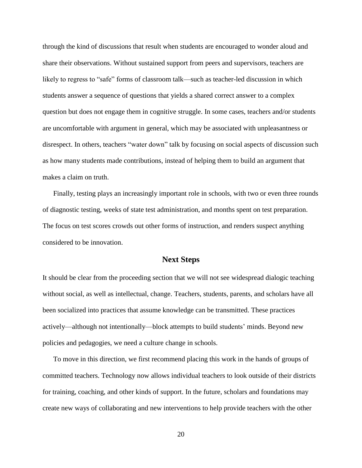through the kind of discussions that result when students are encouraged to wonder aloud and share their observations. Without sustained support from peers and supervisors, teachers are likely to regress to "safe" forms of classroom talk—such as teacher-led discussion in which students answer a sequence of questions that yields a shared correct answer to a complex question but does not engage them in cognitive struggle. In some cases, teachers and/or students are uncomfortable with argument in general, which may be associated with unpleasantness or disrespect. In others, teachers "water down" talk by focusing on social aspects of discussion such as how many students made contributions, instead of helping them to build an argument that makes a claim on truth.

Finally, testing plays an increasingly important role in schools, with two or even three rounds of diagnostic testing, weeks of state test administration, and months spent on test preparation. The focus on test scores crowds out other forms of instruction, and renders suspect anything considered to be innovation.

## **Next Steps**

It should be clear from the proceeding section that we will not see widespread dialogic teaching without social, as well as intellectual, change. Teachers, students, parents, and scholars have all been socialized into practices that assume knowledge can be transmitted. These practices actively—although not intentionally—block attempts to build students' minds. Beyond new policies and pedagogies, we need a culture change in schools.

To move in this direction, we first recommend placing this work in the hands of groups of committed teachers. Technology now allows individual teachers to look outside of their districts for training, coaching, and other kinds of support. In the future, scholars and foundations may create new ways of collaborating and new interventions to help provide teachers with the other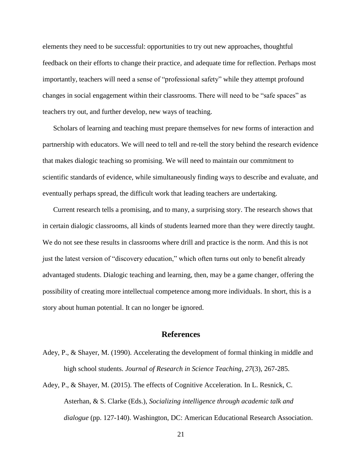elements they need to be successful: opportunities to try out new approaches, thoughtful feedback on their efforts to change their practice, and adequate time for reflection. Perhaps most importantly, teachers will need a sense of "professional safety" while they attempt profound changes in social engagement within their classrooms. There will need to be "safe spaces" as teachers try out, and further develop, new ways of teaching.

Scholars of learning and teaching must prepare themselves for new forms of interaction and partnership with educators. We will need to tell and re-tell the story behind the research evidence that makes dialogic teaching so promising. We will need to maintain our commitment to scientific standards of evidence, while simultaneously finding ways to describe and evaluate, and eventually perhaps spread, the difficult work that leading teachers are undertaking.

Current research tells a promising, and to many, a surprising story. The research shows that in certain dialogic classrooms, all kinds of students learned more than they were directly taught. We do not see these results in classrooms where drill and practice is the norm. And this is not just the latest version of "discovery education," which often turns out only to benefit already advantaged students. Dialogic teaching and learning, then, may be a game changer, offering the possibility of creating more intellectual competence among more individuals. In short, this is a story about human potential. It can no longer be ignored.

#### **References**

- Adey, P., & Shayer, M. (1990). Accelerating the development of formal thinking in middle and high school students. *Journal of Research in Science Teaching, 27*(3), 267-285.
- Adey, P., & Shayer, M. (2015). The effects of Cognitive Acceleration. In L. Resnick, C. Asterhan, & S. Clarke (Eds.), *Socializing intelligence through academic talk and dialogue* (pp. 127-140). Washington, DC: American Educational Research Association.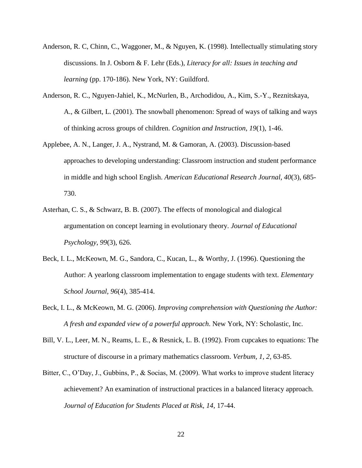- Anderson, R. C, Chinn, C., Waggoner, M., & Nguyen, K. (1998). Intellectually stimulating story discussions. In J. Osborn & F. Lehr (Eds.), *Literacy for all: Issues in teaching and learning* (pp. 170-186). New York, NY: Guildford.
- Anderson, R. C., Nguyen-Jahiel, K., McNurlen, B., Archodidou, A., Kim, S.-Y., Reznitskaya, A., & Gilbert, L. (2001). The snowball phenomenon: Spread of ways of talking and ways of thinking across groups of children. *Cognition and Instruction*, *19*(1), 1-46.
- Applebee, A. N., Langer, J. A., Nystrand, M. & Gamoran, A. (2003). Discussion-based approaches to developing understanding: Classroom instruction and student performance in middle and high school English. *American Educational Research Journal, 40*(3), 685- 730.
- Asterhan, C. S., & Schwarz, B. B. (2007). The effects of monological and dialogical argumentation on concept learning in evolutionary theory. *Journal of Educational Psychology*, *99*(3), 626.
- Beck, I. L., McKeown, M. G., Sandora, C., Kucan, L., & Worthy, J. (1996). Questioning the Author: A yearlong classroom implementation to engage students with text. *Elementary School Journal, 96*(4), 385-414.
- Beck, I. L., & McKeown, M. G. (2006). *Improving comprehension with Questioning the Author: A fresh and expanded view of a powerful approach*. New York, NY: Scholastic, Inc.
- Bill, V. L., Leer, M. N., Reams, L. E., & Resnick, L. B. (1992). From cupcakes to equations: The structure of discourse in a primary mathematics classroom. *Verbum, 1*, *2*, 63-85.
- Bitter, C., O'Day, J., Gubbins, P., & Socias, M. (2009). What works to improve student literacy achievement? An examination of instructional practices in a balanced literacy approach. *Journal of Education for Students Placed at Risk, 14*, 17-44.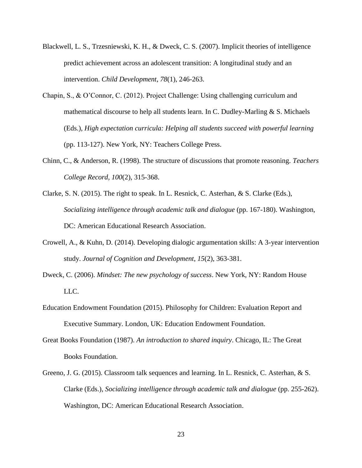- Blackwell, L. S., Trzesniewski, K. H., & Dweck, C. S. (2007). Implicit theories of intelligence predict achievement across an adolescent transition: A longitudinal study and an intervention. *Child Development*, *78*(1), 246-263.
- Chapin, S., & O'Connor, C. (2012). Project Challenge: Using challenging curriculum and mathematical discourse to help all students learn. In C. Dudley-Marling  $\& S$ . Michaels (Eds.), *High expectation curricula: Helping all students succeed with powerful learning* (pp. 113-127). New York, NY: Teachers College Press.
- Chinn, C., & Anderson, R. (1998). The structure of discussions that promote reasoning. *Teachers College Record, 100*(2), 315-368.
- Clarke, S. N. (2015). The right to speak. In L. Resnick, C. Asterhan, & S. Clarke (Eds.), *Socializing intelligence through academic talk and dialogue* (pp. 167-180). Washington, DC: American Educational Research Association.
- Crowell, A., & Kuhn, D. (2014). Developing dialogic argumentation skills: A 3-year intervention study. *Journal of Cognition and Development*, *15*(2), 363-381.
- Dweck, C. (2006). *Mindset: The new psychology of success*. New York, NY: Random House LLC.
- Education Endowment Foundation (2015). Philosophy for Children: Evaluation Report and Executive Summary. London, UK: Education Endowment Foundation.
- Great Books Foundation (1987). *An introduction to shared inquiry*. Chicago, IL: The Great Books Foundation.
- Greeno, J. G. (2015). Classroom talk sequences and learning. In L. Resnick, C. Asterhan, & S. Clarke (Eds.), *Socializing intelligence through academic talk and dialogue* (pp. 255-262). Washington, DC: American Educational Research Association.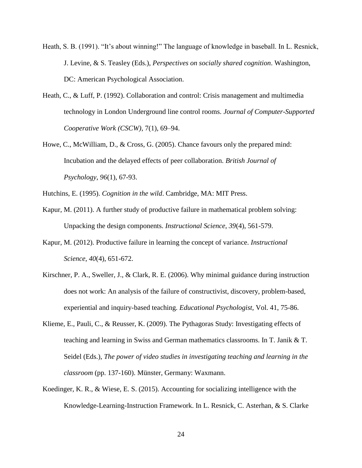Heath, S. B. (1991). "It's about winning!" The language of knowledge in baseball. In L. Resnick, J. Levine, & S. Teasley (Eds.), *Perspectives on socially shared cognition*. Washington, DC: American Psychological Association.

- Heath, C., & Luff, P. (1992). Collaboration and control: Crisis management and multimedia technology in London Underground line control rooms. *Journal of Computer-Supported Cooperative Work (CSCW)*, 7(1), 69–94.
- Howe, C., McWilliam, D., & Cross, G. (2005). Chance favours only the prepared mind: Incubation and the delayed effects of peer collaboration. *British Journal of Psychology*, *96*(1), 67-93.

Hutchins, E. (1995). *Cognition in the wild*. Cambridge, MA: MIT Press.

- Kapur, M. (2011). A further study of productive failure in mathematical problem solving: Unpacking the design components. *Instructional Science*, *39*(4), 561-579.
- Kapur, M. (2012). Productive failure in learning the concept of variance. *Instructional Science*, *40*(4), 651-672.
- Kirschner, P. A., Sweller, J., & Clark, R. E. (2006). Why minimal guidance during instruction does not work: An analysis of the failure of constructivist, discovery, problem-based, experiential and inquiry-based teaching. *Educational Psychologist,* Vol. 41, 75-86.
- Klieme, E., Pauli, C., & Reusser, K. (2009). The Pythagoras Study: Investigating effects of teaching and learning in Swiss and German mathematics classrooms. In T. Janik & T. Seidel (Eds.), *The power of video studies in investigating teaching and learning in the classroom* (pp. 137-160). Münster, Germany: Waxmann.
- Koedinger, K. R., & Wiese, E. S. (2015). Accounting for socializing intelligence with the Knowledge-Learning-Instruction Framework. In L. Resnick, C. Asterhan, & S. Clarke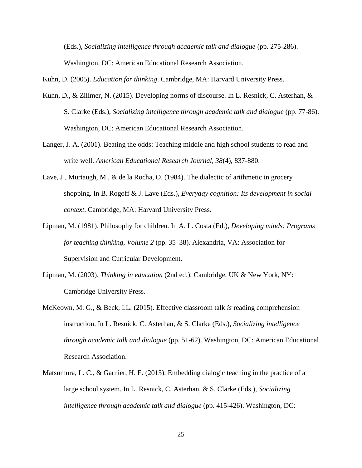(Eds.), *Socializing intelligence through academic talk and dialogue* (pp. 275-286). Washington, DC: American Educational Research Association.

Kuhn, D. (2005). *Education for thinking*. Cambridge, MA: Harvard University Press.

- Kuhn, D., & Zillmer, N. (2015). Developing norms of discourse. In L. Resnick, C. Asterhan, & S. Clarke (Eds.), *Socializing intelligence through academic talk and dialogue* (pp. 77-86). Washington, DC: American Educational Research Association.
- Langer, J. A. (2001). Beating the odds: Teaching middle and high school students to read and write well. *American Educational Research Journal, 38*(4), 837-880.
- Lave, J., Murtaugh, M., & de la Rocha, O. (1984). The dialectic of arithmetic in grocery shopping. In B. Rogoff & J. Lave (Eds.), *Everyday cognition: Its development in social context*. Cambridge, MA: Harvard University Press.
- Lipman, M. (1981). Philosophy for children. In A. L. Costa (Ed.), *Developing minds: Programs for teaching thinking, Volume 2* (pp. 35–38). Alexandria, VA: Association for Supervision and Curricular Development.
- Lipman, M. (2003). *Thinking in education* (2nd ed.). Cambridge, UK & New York, NY: Cambridge University Press.
- McKeown, M. G., & Beck, I.L. (2015). Effective classroom talk *is* reading comprehension instruction. In L. Resnick, C. Asterhan, & S. Clarke (Eds.), *Socializing intelligence through academic talk and dialogue* (pp. 51-62). Washington, DC: American Educational Research Association.
- Matsumura, L. C., & Garnier, H. E. (2015). Embedding dialogic teaching in the practice of a large school system. In L. Resnick, C. Asterhan, & S. Clarke (Eds.), *Socializing intelligence through academic talk and dialogue* (pp. 415-426). Washington, DC: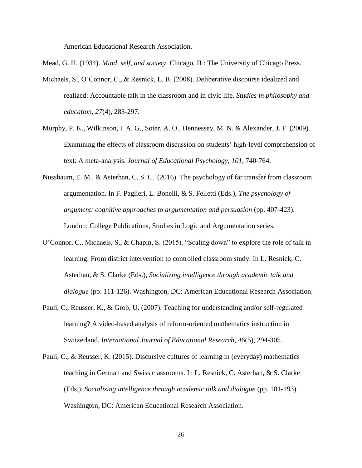American Educational Research Association.

Mead, G. H. (1934). *Mind, self, and society*. Chicago, IL: The University of Chicago Press.

- Michaels, S., O'Connor, C., & Resnick, L. B. (2008). Deliberative discourse idealized and realized: Accountable talk in the classroom and in civic life. *Studies in philosophy and education*, *27*(4), 283-297.
- Murphy, P. K., Wilkinson, I. A. G., Soter, A. O., Hennessey, M. N. & Alexander, J. F. (2009). Examining the effects of classroom discussion on students' high-level comprehension of text: A meta-analysis. *Journal of Educational Psychology, 101*, 740-764.
- Nussbaum, E. M., & Asterhan, C. S. C. (2016). The psychology of far transfer from classroom argumentation. In F. Paglieri, L. Bonelli, & S. Felletti (Eds.), *The psychology of argument: cognitive approaches to argumentation and persuasion* (pp. 407-423). London: College Publications, Studies in Logic and Argumentation series.
- O'Connor, C., Michaels, S., & Chapin, S. (2015). "Scaling down" to explore the role of talk in learning: From district intervention to controlled classroom study. In L. Resnick, C. Asterhan, & S. Clarke (Eds.), *Socializing intelligence through academic talk and dialogue* (pp. 111-126). Washington, DC: American Educational Research Association.
- Pauli, C., Reusser, K., & Grob, U. (2007). Teaching for understanding and/or self-regulated learning? A video-based analysis of reform-oriented mathematics instruction in Switzerland. *International Journal of Educational Research, 46*(5), 294-305.
- Pauli, C., & Reusser, K. (2015). Discursive cultures of learning in (everyday) mathematics teaching in German and Swiss classrooms. In L. Resnick, C. Asterhan, & S. Clarke (Eds.), *Socializing intelligence through academic talk and dialogue* (pp. 181-193). Washington, DC: American Educational Research Association.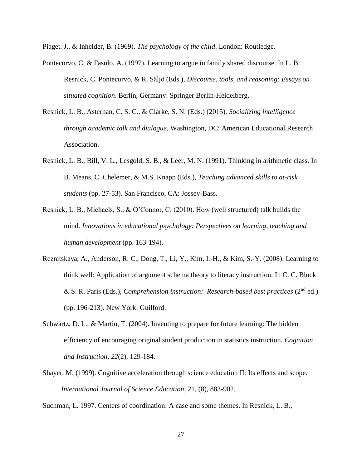Piaget. J., & Inhelder, B. (1969). *The psychology of the child*. London: Routledge.

- Pontecorvo, C. & Fasulo, A. (1997). Learning to argue in family shared discourse. In L. B. Resnick, C. Pontecorvo, & R. Säljö (Eds.), *Discourse, tools, and reasoning: Essays on situated cognition*. Berlin, Germany: Springer Berlin-Heidelberg.
- Resnick, L. B., Asterhan, C. S. C., & Clarke, S. N. (Eds.) (2015). *Socializing intelligence through academic talk and dialogue*. Washington, DC: American Educational Research Association.
- Resnick, L. B., Bill, V. L., Lesgold, S. B., & Leer, M. N. (1991). Thinking in arithmetic class. In B. Means, C. Chelemer, & M.S. Knapp (Eds.), *Teaching advanced skills to at-risk students* (pp. 27-53). San Francisco, CA: Jossey-Bass.
- Resnick, L. B., Michaels, S., & O'Connor, C. (2010). How (well structured) talk builds the mind. *Innovations in educational psychology: Perspectives on learning, teaching and human development* (pp. 163-194).
- Reznitskaya, A., Anderson, R. C., Dong, T., Li, Y., Kim, I.-H., & Kim, S.-Y. (2008). Learning to think well: Application of argument schema theory to literacy instruction. In C. C. Block & S. R. Paris (Eds.), *Comprehension instruction: Research-based best practices* (2nd ed.) (pp. 196-213). New York: Guilford.
- Schwartz, D. L., & Martin, T. (2004). Inventing to prepare for future learning: The hidden efficiency of encouraging original student production in statistics instruction. *Cognition and Instruction*, *22*(2), 129-184.
- Shayer, M. (1999). Cognitive acceleration through science education II: Its effects and scope. *International Journal of Science Education*, 21, (8), 883-902.

Suchman, L. 1997. Centers of coordination: A case and some themes. In Resnick, L. B.,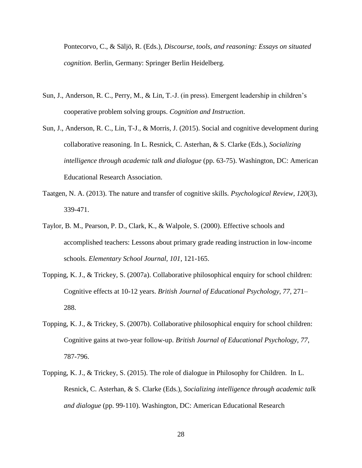Pontecorvo, C., & Säljö, R. (Eds.), *Discourse, tools, and reasoning: Essays on situated cognition*. Berlin, Germany: Springer Berlin Heidelberg.

- Sun, J., Anderson, R. C., Perry, M., & Lin, T.-J. (in press). Emergent leadership in children's cooperative problem solving groups. *Cognition and Instruction*.
- Sun, J., Anderson, R. C., Lin, T-J., & Morris, J. (2015). Social and cognitive development during collaborative reasoning. In L. Resnick, C. Asterhan, & S. Clarke (Eds.), *Socializing intelligence through academic talk and dialogue* (pp. 63-75). Washington, DC: American Educational Research Association.
- Taatgen, N. A. (2013). The nature and transfer of cognitive skills. *Psychological Review, 120*(3), 339-471.
- Taylor, B. M., Pearson, P. D., Clark, K., & Walpole, S. (2000). Effective schools and accomplished teachers: Lessons about primary grade reading instruction in low-income schools. *Elementary School Journal, 101*, 121-165.
- Topping, K. J., & Trickey, S. (2007a). Collaborative philosophical enquiry for school children: Cognitive effects at 10-12 years. *British Journal of Educational Psychology, 77*, 271– 288.
- Topping, K. J., & Trickey, S. (2007b). Collaborative philosophical enquiry for school children: Cognitive gains at two-year follow-up. *British Journal of Educational Psychology, 77*, 787-796.
- Topping, K. J., & Trickey, S. (2015). The role of dialogue in Philosophy for Children. In L. Resnick, C. Asterhan, & S. Clarke (Eds.), *Socializing intelligence through academic talk and dialogue* (pp. 99-110). Washington, DC: American Educational Research